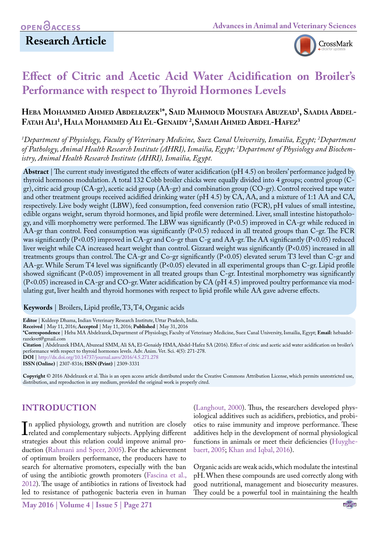

# **Effect of Citric and Acetic Acid Water Acidification on Broiler's Performance with respect to Thyroid Hormones Levels**

# **Heba Mohammed Ahmed Abdelrazek1 \*, Said Mahmoud Moustafa Abuzead1 , Saadia Abdel-Fatah Ali1 , Hala Mohammed Ali El-Genaidy <sup>2</sup> ,Samah Ahmed Abdel-Hafez3**

*1 Department of Physiology, Faculty of Veterinary Medicine, Suez Canal University, Ismailia, Egypt; 2 Department of Pathology, Animal Health Research Institute (AHRI), Ismailia, Egypt; 3 Department of Physiology and Biochemistry, Animal Health Research Institute (AHRI), Ismailia, Egypt.*

**Abstract** | The current study investigated the effects of water acidification (pH 4.5) on broilers' performance judged by thyroid hormones modulation. A total 132 Cobb broiler chicks were equally divided into 4 groups; control group (Cgr), citric acid group (CA-gr), acetic acid group (AA-gr) and combination group (CO-gr). Control received tape water and other treatment groups received acidified drinking water (pH 4.5) by CA, AA, and a mixture of 1:1 AA and CA, respectively. Live body weight (LBW), feed consumption, feed conversion ratio (FCR), pH values of small intestine, edible organs weight, serum thyroid hormones, and lipid profile were determined. Liver, small intestine histopathology, and villi morphometry were performed. The LBW was significantly (P<0.5) improved in CA-gr while reduced in AA-gr than control. Feed consumption was significantly (P<0.5) reduced in all treated groups than C-gr. The FCR was significantly (P<0.05) improved in CA-gr and Co-gr than C-g and AA-gr. The AA significantly (P<0.05) reduced liver weight while CA increased heart weight than control. Gizzard weight was significantly (P<0.05) increased in all treatments groups than control. The CA-gr and Co-gr significantly (P<0.05) elevated serum T3 level than C-gr and AA-gr. While Serum T4 level was significantly (P<0.05) elevated in all experimental groups than C-gr. Lipid profile showed significant (P<0.05) improvement in all treated groups than C-gr. Intestinal morphometry was significantly (P<0.05) increased in CA-gr and CO-gr. Water acidification by CA (pH 4.5) improved poultry performance via modulating gut, liver health and thyroid hormones with respect to lipid profile while AA gave adverse effects.

**Keywords** | Broilers, Lipid profile, T3, T4, Organic acids

**Editor** | Kuldeep Dhama, Indian Veterinary Research Institute, Uttar Pradesh, India.

**Received** | May 11, 2016; **Accepted** | May 11, 2016; **Published** | May 31, 2016

**\*Correspondence** | Heba MA Abdelrazek,Department of Physiology, Faculty of Veterinary Medicine, Suez Canal University, Ismailia, Egypt; **Email:** hebaadelrazekvet@gmail.com

**Citation** | Abdelrazek HMA, Abuzead SMM, Ali SA, El-Genaidy HMA,Abdel-Hafez SA (2016). Effect of citric and acetic acid water acidification on broiler's performance with respect to thyroid hormones levels. Adv. Anim. Vet. Sci. 4(5): 271-278.

**DOI** | <http://dx.doi.org/10.14737/journal.aavs/2016/4.5.271.278>

**ISSN (Online)** | 2307-8316; **ISSN (Print)** | 2309-3331

**Copyright** © 2016 Abdelrazek et al. This is an open access article distributed under the Creative Commons Attribution License, which permits unrestricted use, distribution, and reproduction in any medium, provided the original work is properly cited.

# **INTRODUCTION**

In applied physiology, growth and nutrition are closely<br>related and complementary subjects. Applying different<br>strategies about this relation could improve animal pron applied physiology, growth and nutrition are closely strategies about this relation could improve animal production [\(Rahmani and Speer, 2005](#page-6-0)). For the achievement of optimum broilers performance, the producers have to search for alternative promoters, especially with the ban of using the antibiotic growth promoters (Fascina et al., 2012). The usage of antibiotics in rations of livestock had led to resistance of pathogenic bacteria even in human

[\(Langhout, 2000](#page-6-1)). Thus, the researchers developed physiological additives such as acidifiers, prebiotics, and probiotics to raise immunity and improve performance. These additives help in the development of normal physiological functions in animals or meet their deficiencies [\(Huyghe](#page-6-2)[baert, 2005;](#page-6-2) [Khan and Iqbal, 2016\)](#page-6-3).

Organic acids are weak acids, which modulate the intestinal pH. When these compounds are used correctly along with good nutritional, management and biosecurity measures. They could be a powerful tool in maintaining the health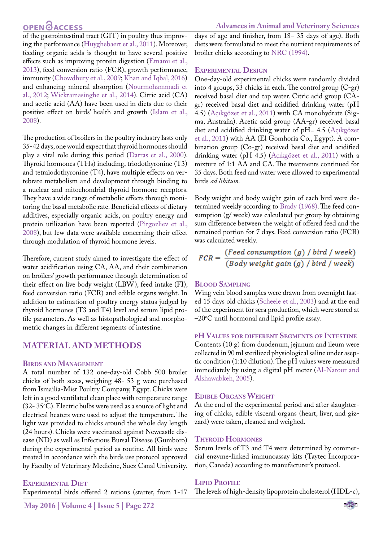# **OPEN**<sub>d</sub>

of the gastrointestinal tract (GIT) in poultry thus improving the performance [\(Huyghebaert et al., 2011](#page-6-2)). Moreover, feeding organic acids is thought to have several positive effects such as improving protein digestion ([Emami et al.,](#page-6-4) [2013](#page-6-4)), feed conversion ratio (FCR), growth performance, immunity ([Chowdhury et al., 2009;](#page-6-5) [Khan and Iqbal, 2016\)](#page-6-3) and enhancing mineral absorption [\(Nourmohammadi et](#page-6-6) [al., 2012](#page-6-6); [Wickramasinghe et al., 2014\)](#page-7-0). Citric acid (CA) and acetic acid (AA) have been used in diets due to their positive effect on birds' health and growth [\(Islam et al.,](#page-6-7) [2008](#page-6-7)).

The production of broilers in the poultry industry lasts only 35-42 days, one would expect that thyroid hormones should play a vital role during this period (Darras et al., 2000). Thyroid hormones (THs) including, triodothyronine (T3) and tetraiodothyronine (T4), have multiple effects on vertebrate metabolism and development through binding to a nuclear and mitochondrial thyroid hormone receptors. They have a wide range of metabolic effects through monitoring the basal metabolic rate. Beneficial effects of dietary additives, especially organic acids, on poultry energy and protein utilization have been reported [\(Pirgozliev et al.,](#page-6-8) [2008](#page-6-8)), but few data were available concerning their effect through modulation of thyroid hormone levels.

Therefore, current study aimed to investigate the effect of water acidification using CA, AA, and their combination on broilers' growth performance through determination of their effect on live body weight (LBW), feed intake (FI), feed conversion ratio (FCR) and edible organs weight. In addition to estimation of poultry energy status judged by thyroid hormones (T3 and T4) level and serum lipid profile parameters. As well as histopathological and morphometric changes in different segments of intestine.

# **MATERIAL AND METHODS**

### **Birds and Management**

A total number of 132 one-day-old Cobb 500 broiler chicks of both sexes, weighing 48- 53 g were purchased from Ismailia-Misr Poultry Company, Egypt. Chicks were left in a good ventilated clean place with temperature range  $(32-35\degree C)$ . Electric bulbs were used as a source of light and electrical heaters were used to adjust the temperature. The light was provided to chicks around the whole day length (24 hours). Chicks were vaccinated against Newcastle disease (ND) as well as Infectious Bursal Disease (Gumboro) during the experimental period as routine. All birds were treated in accordance with the birds use protocol approved by Faculty of Veterinary Medicine, Suez Canal University.

### **Experimental Diet**

Experimental birds offered 2 rations (starter, from 1-17

days of age and finisher, from 18– 35 days of age). Both diets were formulated to meet the nutrient requirements of broiler chicks according to [NRC \(1994\)](#page-6-9).

### **Experimental Design**

One-day-old experimental chicks were randomly divided into 4 groups, 33 chicks in each. The control group (C-gr) received basal diet and tap water. Citric acid group (CAgr) received basal diet and acidified drinking water (pH 4.5) (Açıkgözet et al., 2011) with CA monohydrate (Sigma, Australia). Acetic acid group (AA-gr) received basal diet and acidified drinking water of pH= 4.5 (Açıkgözet et al., 2011) with AA (El Gomhoria Co., Egypt). A combination group (Co-gr) received basal diet and acidified drinking water (pH 4.5) (Açıkgözet et al., 2011) with a mixture of 1:1 AA and CA. The treatments continued for 35 days. Both feed and water were allowed to experimental birds *ad libitum.*

Body weight and body weight gain of each bird were determined weekly according to [Brady \(1968\)](#page-6-10). The feed consumption (g/ week) was calculated per group by obtaining sum difference between the weight of offered feed and the remained portion for 7 days. Feed conversion ratio (FCR) was calculated weekly.

$$
FCR = \frac{(Feed \ consumption (g) / bird / week)}{(Body \ weight \ gain (g) / bird / week)}
$$

### **Blood Sampling**

Wing vein blood samples were drawn from overnight fasted 15 days old chicks [\(Scheele et al., 2003](#page-7-1)) and at the end of the experiment for sera production, which were stored at –20°C until hormonal and lipid profile assay.

### **pH Values for different Segments of Intestine**

Contents (10 g) from duodenum, jejunum and ileum were collected in 90 ml sterilized physiological saline under aseptic condition (1:10 dilution). The pH values were measured immediately by using a digital pH meter ([Al-Natour and](#page-5-0)  [Alshawabkeh, 2005\)](#page-5-0).

### **Edible Organs Weight**

At the end of the experimental period and after slaughtering of chicks, edible visceral organs (heart, liver, and gizzard) were taken, cleaned and weighed.

### **Thyroid Hormones**

Serum levels of T3 and T4 were determined by commercial enzyme-linked immunoassay kits (Taytec Incorporation, Canada) according to manufacturer's protocol.

### **Lipid Profile**

The levels of high-density lipoprotein cholesterol (HDL-c),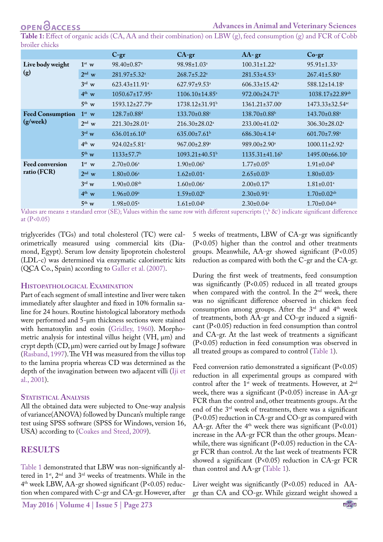<span id="page-2-0"></span>**Table 1:** Effect of organic acids (CA, AA and their combination) on LBW (g), feed consumption (g) and FCR of Cobb broiler chicks

|                                       |                   | $C-gr$                           | $CA-gr$                          | $AA-gr$                          | $Co-gr$                         |
|---------------------------------------|-------------------|----------------------------------|----------------------------------|----------------------------------|---------------------------------|
| Live body weight<br>(g)               | $1st$ w           | 98.40±0.87 <sup>a</sup>          | $98.98 \pm 1.03$ <sup>a</sup>    | $100.31 \pm 1.22$ <sup>a</sup>   | $95.91 \pm 1.33$ <sup>a</sup>   |
|                                       | $2^{\text{nd}}$ w | 281.97±5.32 <sup>a</sup>         | $268.7 \pm 5.22^{\text{a}}$      | 281.53±4.53 <sup>a</sup>         | $267.41 \pm 5.80^a$             |
|                                       | $3^{\text{rd}}$ w | $623.43 \pm 11.91$ <sup>a</sup>  | 627.97±9.53 <sup>a</sup>         | $606.33 \pm 15.42^a$             | 588.12±14.18 <sup>a</sup>       |
|                                       | $4^{th}$ w        | $1050.67 \pm 17.95$ <sup>a</sup> | $1106.10 \pm 14.85$ <sup>a</sup> | $972.00 \pm 24.71$               | 1038.17±22.89 <sup>ab</sup>     |
|                                       | $5^{th}$ w        | $1593.12 \pm 27.79$ <sup>a</sup> | $1738.12 \pm 31.91$ <sup>b</sup> | $1361.21 \pm 37.00$ <sup>c</sup> | 1473.33±32.54 <sup>ac</sup>     |
| <b>Feed Consumption</b><br>(g/week)   | $1st$ w           | $128.7 \pm 0.88$ <sup>d</sup>    | $133.70 \pm 0.88$ <sup>c</sup>   | $138.70\pm0.88^{\rm b}$          | $143.70 \pm 0.88$ <sup>a</sup>  |
|                                       | $2^{\text{nd}}$ w | $221.30 \pm 28.01$ <sup>a</sup>  | 216.30±28.02 <sup>a</sup>        | $233.00 \pm 41.02$ <sup>a</sup>  | $306.30 \pm 28.02^{\text{a}}$   |
|                                       | $3^{\text{rd}}$ w | $636.01 \pm 6.10^b$              | $635.00 \pm 7.61^b$              | $686.30 \pm 4.14$ <sup>a</sup>   | $601.70 \pm 7.98$ <sup>a</sup>  |
|                                       | $4^{th}$ w        | $924.02 \pm 5.81$ °              | $967.00 \pm 2.89^{\text{a}}$     | 989.00±2.90 <sup>a</sup>         | $1000.11 \pm 2.92$ <sup>a</sup> |
|                                       | $5^{th}$ w        | $1133 \pm 57.7$ <sup>b</sup>     | $1093.21 \pm 40.51$ <sup>b</sup> | $1135.31 \pm 41.16$ <sup>b</sup> | $1495.00\pm66.10^a$             |
| <b>Feed conversion</b><br>ratio (FCR) | $1st$ w           | $2.70 \pm 0.06^{\text{a}}$       | $1.90\pm0.06^{\rm b}$            | $1.77 \pm 0.05^{\rm b}$          | $1.91 \pm 0.04^b$               |
|                                       | $2nd$ w           | $1.80 \pm 0.06^{\text{a}}$       | $1.62 \pm 0.01$ <sup>a</sup>     | $2.65 \pm 0.03^b$                | $1.80 \pm 0.03$ <sup>a</sup>    |
|                                       | $3^{\text{rd}}$ w | $1.90 \pm 0.08$ <sup>ab</sup>    | $1.60 \pm 0.06^{\text{a}}$       | $2.00\pm0.17^{\rm b}$            | $1.81 \pm 0.01^a$               |
|                                       | $4^{th}$ w        | $1.96 \pm 0.09^{\mathrm{a}}$     | $1.59 \pm 0.02^b$                | $2.30\pm0.91$ <sup>c</sup>       | $1.70 \pm 0.02$ <sup>ab</sup>   |
|                                       | $5^{\text{th}}$ w | $1.98 \pm 0.05^{\text{a}}$       | $1.61 \pm 0.04^b$                | $2.30\pm0.04^a$                  | $1.70 \pm 0.04$ <sup>ab</sup>   |

Values are means ± standard error (SE); Values within the same row with different superscripts ( $a, b$  &c) indicate significant difference at (P<0.05)

triglycerides (TGs) and total cholesterol (TC) were calorimetrically measured using commercial kits (Diamond, Egypt). Serum low density lipoprotein cholesterol (LDL-c) was determined via enzymatic calorimetric kits (QCA Co., Spain) according to [Galler et al. \(2007\)](#page-6-11).

### **Histopathological Examination**

Part of each segment of small intestine and liver were taken immediately after slaughter and fixed in 10% formalin saline for 24 hours. Routine histological laboratory methods were performed and 5-μm thickness sections were stained with hematoxylin and eosin [\(Gridley, 1960](#page-6-12)). Morphometric analysis for intestinal villus height (VH, μm) and crypt depth (CD, μm) were carried out by Image J software ([Rasband, 1997](#page-6-13)). The VH was measured from the villus top to the lamina propria whereas CD was determined as the depth of the invagination between two adjacent villi ([Iji et](#page-6-14) [al., 2001](#page-6-14)).

### **STATISTICAL ANALYSIS**

All the obtained data were subjected to One-way analysis of variance(ANOVA) followed by Duncan's multiple range test using SPSS software (SPSS for Windows, version 16, USA) according to [\(Coakes and Steed, 2009\)](#page-6-15).

# **RESULTS**

[Table 1](#page-2-0) demonstrated that LBW was non-significantly altered in 1st, 2nd and 3rd weeks of treatments. While in the 4th week LBW, AA-gr showed significant (P<0.05) reduction when compared with C-gr and CA-gr. However, after 5 weeks of treatments, LBW of CA-gr was significantly (P<0.05) higher than the control and other treatments groups. Meanwhile, AA-gr showed significant (P<0.05) reduction as compared with both the C-gr and the CA-gr.

During the first week of treatments, feed consumption was significantly (P<0.05) reduced in all treated groups when compared with the control. In the 2<sup>nd</sup> week, there was no significant difference observed in chicken feed consumption among groups. After the 3<sup>rd</sup> and 4<sup>th</sup> week of treatments, both AA-gr and CO-gr induced a significant (P<0.05) reduction in feed consumption than control and CA-gr. At the last week of treatments a significant (P<0.05) reduction in feed consumption was observed in all treated groups as compared to control [\(Table 1](#page-2-0)).

Feed conversion ratio demonstrated a significant (P<0.05) reduction in all experimental groups as compared with control after the 1<sup>st</sup> week of treatments. However, at 2<sup>nd</sup> week, there was a significant (P<0.05) increase in AA-gr FCR than the control and, other treatments groups. At the end of the 3rd week of treatments, there was a significant (P<0.05) reduction in CA-gr and CO-gr as compared with AA-gr. After the  $4<sup>th</sup>$  week there was significant (P<0.01) increase in the AA-gr FCR than the other groups. Meanwhile, there was significant (P<0.05) reduction in the CAgr FCR than control. At the last week of treatments FCR showed a significant (P<0.05) reduction in CA-gr FCR than control and AA-gr ([Table 1\)](#page-2-0).

Liver weight was significantly (P<0.05) reduced in AAgr than CA and CO-gr. While gizzard weight showed a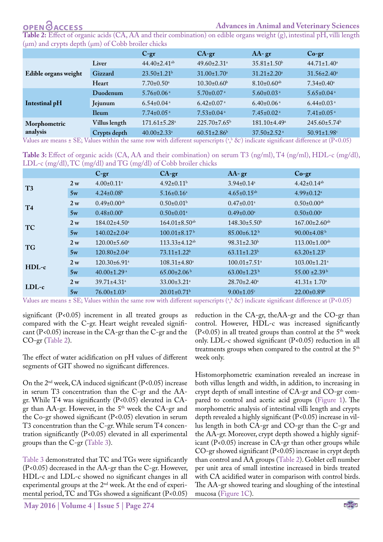# OPEN **OACCESS**

### **Advances in Animal and Veterinary Sciences**

<span id="page-3-0"></span>**Table 2:** Effect of organic acids (CA, AA and their combination) on edible organs weight (g), intestinal pH, villi length  $(\mu m)$  and crypts depth  $(\mu m)$  of Cobb broiler chicks

|                      |               | $C-gr$                         | $CA-gr$                       | $AA-gr$                        | $Co-gr$                       |
|----------------------|---------------|--------------------------------|-------------------------------|--------------------------------|-------------------------------|
| Edible organs weight | Liver         | $44.40 \pm 2.41$ <sup>ab</sup> | $49.60 \pm 2.31$ <sup>a</sup> | $35.81 \pm 1.50^{\circ}$       | $44.71 \pm 1.40^a$            |
|                      | Gizzard       | $23.50 \pm 1.21$ <sup>b</sup>  | $31.00 \pm 1.70$ <sup>a</sup> | $31.21 \pm 2.20^a$             | $31.56 \pm 2.40^a$            |
|                      | Heart         | $7.70 \pm 0.50$ <sup>a</sup>   | $10.30\pm0.60^{\rm b}$        | $8.10\pm0.60^{ab}$             | $7.34 \pm 0.40^a$             |
| Intestinal pH        | Duodenum      | $5.76 \pm 0.06$ <sup>a</sup>   | $5.70 \pm 0.07$ <sup>a</sup>  | $5.60\pm0.03$ <sup>a</sup>     | $5.65 \pm 0.04$ <sup>a</sup>  |
|                      | Jejunum       | $6.54 \pm 0.04$ <sup>a</sup>   | $6.42 \pm 0.07$ <sup>a</sup>  | $6.40\pm0.06$ <sup>a</sup>     | $6.44 \pm 0.03$ <sup>a</sup>  |
|                      | <b>Ileum</b>  | $7.74 \pm 0.05$ <sup>a</sup>   | $7.53 \pm 0.04$ <sup>a</sup>  | $7.45 \pm 0.02$ <sup>a</sup>   | $7.41 \pm 0.05$ <sup>a</sup>  |
| Morphometric         | Villus length | $171.61 \pm 5.28$ <sup>a</sup> | $225.70 \pm 7.65^{\rm b}$     | $181.10 \pm 4.49$ <sup>a</sup> | 245.60±5.74 <sup>b</sup>      |
| analysis             | Crypts depth  | $40.00 \pm 2.33$ <sup>a</sup>  | $60.51 \pm 2.86$ <sup>b</sup> | $37.50 \pm 2.52$ <sup>a</sup>  | $50.91 \pm 1.98$ <sup>c</sup> |

Values are means ± SE; Values within the same row with different superscripts ( $a, b \& c$ ) indicate significant difference at (P<0.05)

<span id="page-3-1"></span>**Table 3:** Effect of organic acids (CA, AA and their combination) on serum T3 (ng/ml), T4 (ng/ml), HDL-c (mg/dl), LDL-c (mg/dl), TC (mg/dl) and TG (mg/dl) of Cobb broiler chicks

|                |                | $C-gr$                         | $CA-gr$                         | $AA-$ gr                       | $Co-gr$                         |
|----------------|----------------|--------------------------------|---------------------------------|--------------------------------|---------------------------------|
| T <sub>3</sub> | 2 <sub>w</sub> | $4.00 \pm 0.11$ <sup>a</sup>   | $4.92 \pm 0.11^{\rm b}$         | $3.94 \pm 0.14$ <sup>a</sup>   | $4.42 \pm 0.14$ <sup>ab</sup>   |
|                | 5w             | $4.24 \pm 0.08$ <sup>b</sup>   | $5.16 \pm 0.16^a$               | $4.65 \pm 0.15^{ab}$           | $4.99 \pm 0.12$ <sup>a</sup>    |
| T <sub>4</sub> | 2 <sub>w</sub> | $0.49 \pm 0.00$ <sup>ab</sup>  | $0.50 \pm 0.01$ <sup>b</sup>    | $0.47 \pm 0.01$ <sup>a</sup>   | $0.50 \pm 0.00$ <sup>ab</sup>   |
|                | 5w             | $0.48 \pm 0.00^b$              | $0.50 \pm 0.01$ <sup>a</sup>    | $0.49 \pm 0.00^a$              | $0.50 \pm 0.00^a$               |
| <b>TC</b>      | 2 <sub>w</sub> | $184.02 \pm 4.50$ <sup>a</sup> | $164.01 \pm 8.50$ <sup>ab</sup> | 148.30±5.50 <sup>b</sup>       | $167.00 \pm 2.60$ <sup>ab</sup> |
|                | 5w             | $140.02 \pm 2.04$ <sup>a</sup> | $100.01 \pm 8.17$ <sup>b</sup>  | $85.00\pm6.12^{\mathrm{b}}$    | $90.00 \pm 4.08$                |
| <b>TG</b>      | 2 <sub>w</sub> | $120.00 \pm 5.60$ <sup>a</sup> | $113.33 \pm 4.12$ <sup>ab</sup> | $98.31 \pm 2.30^b$             | $113.00 \pm 1.00$ <sup>ab</sup> |
|                | 5w             | $120.80 \pm 2.04$ <sup>a</sup> | $73.11 \pm 1.22$ <sup>b</sup>   | $63.11 \pm 1.23$ <sup>b</sup>  | $63.20 \pm 1.23$ <sup>b</sup>   |
| $HDL-c$        | 2 <sub>w</sub> | $120.30 \pm 6.91$ <sup>a</sup> | $108.31 \pm 4.80^a$             | $100.01 \pm 7.51$ <sup>a</sup> | $103.00 \pm 1.21$ <sup>a</sup>  |
|                | 5w             | 40.00 $\pm$ 1.29 $\mathrm{a}$  | $65.00\pm2.06^{\mathrm{b}}$     | $63.00 \pm 1.23$ <sup>b</sup>  | $55.00 \pm 2.39^{\mathrm{b}}$   |
| $LDL-c$        | 2 <sub>w</sub> | $39.71 \pm 4.31$ <sup>a</sup>  | $33.00 \pm 3.21$ <sup>a</sup>   | $28.70 \pm 2.40^{\circ}$       | $41.31 \pm 1.70$ <sup>a</sup>   |
|                | 5w             | $76.00 \pm 1.03$ <sup>a</sup>  | $20.01 \pm 0.71$ <sup>b</sup>   | $9.00 \pm 1.05$ <sup>c</sup>   | $22.00 \pm 0.89$ <sup>b</sup>   |

Values are means ± SE; Values within the same row with different superscripts ( $a, b \& c$ ) indicate significant difference at (P<0.05)

significant (P<0.05) increment in all treated groups as compared with the C-gr. Heart weight revealed significant (P<0.05) increase in the CA-gr than the C-gr and the CO-gr [\(Table 2](#page-3-0)).

The effect of water acidification on pH values of different segments of GIT showed no significant differences.

On the  $2^{nd}$  week, CA induced significant (P<0.05) increase in serum T3 concentration than the C-gr and the AAgr. While T4 was significantly (P<0.05) elevated in CAgr than AA-gr. However, in the 5<sup>th</sup> week the CA-gr and the Co-gr showed significant (P<0.05) elevation in serum T3 concentration than the C-gr. While serum T4 concentration significantly (P<0.05) elevated in all experimental groups than the C-gr ([Table 3\)](#page-3-1).

[Table 3](#page-3-1) demonstrated that TC and TGs were significantly (P<0.05) decreased in the AA-gr than the C-gr. However, HDL-c and LDL-c showed no significant changes in all experimental groups at the 2nd week. At the end of experimental period, TC and TGs showed a significant (P<0.05)

**May 2016 | Volume 4 | Issue 5 | Page 274**

reduction in the CA-gr, theAA-gr and the CO-gr than control. However, HDL-c was increased significantly (P<0.05) in all treated groups than control at the  $5<sup>th</sup>$  week only. LDL-c showed significant (P<0.05) reduction in all treatments groups when compared to the control at the 5<sup>th</sup> week only.

Histomorphometric examination revealed an increase in both villus length and width, in addition, to increasing in crypt depth of small intestine of CA-gr and CO-gr compared to control and acetic acid groups ([Figure 1\)](#page-4-0). The morphometric analysis of intestinal villi length and crypts depth revealed a highly significant (P<0.05) increase in villus length in both CA-gr and CO-gr than the C-gr and the AA-gr. Moreover, crypt depth showed a highly significant (P<0.05) increase in CA-gr than other groups while CO-gr showed significant (P<0.05) increase in crypt depth than control and AA groups [\(Table 2\)](#page-3-0). Goblet cell number per unit area of small intestine increased in birds treated with CA acidified water in comparison with control birds. The AA-gr showed tearing and sloughing of the intestinal mucosa ([Figure 1C](#page-4-0)).

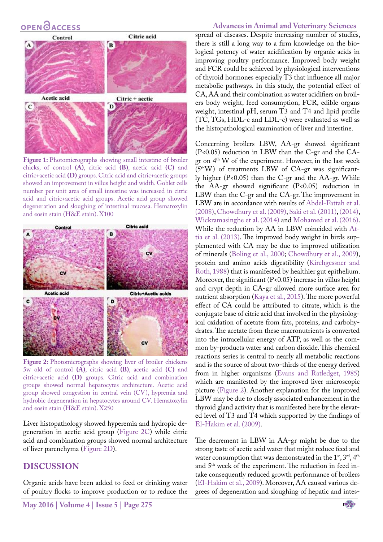# **OPEN**OACCESS

# Citric acid Control B **Acetic acid** Citric + acetic D  $\mathbf C$

<span id="page-4-0"></span>Figure 1: Photomicrographs showing small intestine of broiler chicks, of control **(A)**, citric acid **(B)**, acetic acid **(C)** and citric+acetic acid **(D)** groups. Citric acid and citric+acetic groups showed an improvement in villus height and width. Goblet cells number per unit area of small intestine was increased in citric acid and citric+acetic acid groups. Acetic acid group showed degeneration and sloughing of intestinal mucosa. Hematoxylin and eosin stain (H&E stain). X100



<span id="page-4-1"></span>Figure 2: Photomicrographs showing liver of broiler chickens 5w old of control **(A)**, citric acid **(B)**, acetic acid **(C)** and citric+acetic acid **(D)** groups. Citric acid and combination groups showed normal hepatocytes architecture. Acetic acid group showed congestion in central vein (CV), hypremia and hydrobic degeneration in hepatocytes around CV. Hematoxylin and eosin stain (H&E stain). X250

Liver histopathology showed hyperemia and hydropic degeneration in acetic acid group ([Figure 2C\)](#page-4-1) while citric acid and combination groups showed normal architecture of liver parenchyma [\(Figure 2D](#page-4-1)).

### **DISCUSSION**

Organic acids have been added to feed or drinking water of poultry flocks to improve production or to reduce the

### **Advances in Animal and Veterinary Sciences**

spread of diseases. Despite increasing number of studies, there is still a long way to a firm knowledge on the biological potency of water acidification by organic acids in improving poultry performance. Improved body weight and FCR could be achieved by physiological interventions of thyroid hormones especially T3 that influence all major metabolic pathways. In this study, the potential effect of CA, AA and their combination as water acidifiers on broilers body weight, feed consumption, FCR, edible organs weight, intestinal pH, serum T3 and T4 and lipid profile (TC, TGs, HDL-c and LDL-c) were evaluated as well as the histopathological examination of liver and intestine.

Concerning broilers LBW, AA-gr showed significant (P<0.05) reduction in LBW than the C-gr and the CAgr on 4<sup>th</sup> W of the experiment. However, in the last week  $(5<sup>th</sup>W)$  of treatments LBW of CA-gr was significantly higher (P<0.05) than the C-gr and the AA-gr. While the AA-gr showed significant  $(P<0.05)$  reduction in LBW than the C-gr and the CA-gr. The improvement in LBW are in accordance with results of [Abdel-Fattah et al.](#page-5-1) [\(2008\),](#page-5-1) [Chowdhury et al. \(2009\)](#page-6-5), [Saki et al. \(2011\)](#page-6-16), [\(2014\)](#page-7-2), [Wickramasinghe et al. \(2014\)](#page-7-0) and [Mohamed et al. \(2016\)](#page-6-17). While the reduction by AA in LBW coincided with [At](#page-5-2)[tia et al. \(2013\).](#page-5-2) The improved body weight in birds supplemented with CA may be due to improved utilization of minerals [\(Boling et al., 2000](#page-6-18); [Chowdhury et al., 2009\)](#page-6-5), protein and amino acids digestibility [\(Kirchgessner and](#page-6-19) [Roth, 1988\)](#page-6-19) that is manifested by healthier gut epithelium. Moreover, the significant (P<0.05) increase in villus height and crypt depth in CA-gr allowed more surface area for nutrient absorption (Kaya et al., 2015). The more powerful effect of CA could be attributed to citrate, which is the conjugate base of citric acid that involved in the physiological oxidation of acetate from fats, proteins, and carbohydrates. The acetate from these macronutrients is converted into the intracellular energy of ATP, as well as the common by-products water and carbon dioxide. This chemical reactions series is central to nearly all metabolic reactions and is the source of about two-thirds of the energy derived from in higher organisms ([Evans and Ratledget, 1985\)](#page-6-20) which are manifested by the improved liver microscopic picture [\(Figure 2](#page-4-1)). Another explanation for the improved LBW may be due to closely associated enhancement in the thyroid gland activity that is manifested here by the elevated level of T3 and T4 which supported by the findings of [El-Hakim et al. \(2009\)](#page-6-21).

The decrement in LBW in AA-gr might be due to the strong taste of acetic acid water that might reduce feed and water consumption that was demonstrated in the  $1<sup>st</sup>$ ,  $3<sup>rd</sup>$ ,  $4<sup>th</sup>$ and 5th week of the experiment. The reduction in feed intake consequently reduced growth performance of broilers [\(El-Hakim et al., 2009](#page-6-21)). Moreover, AA caused various degrees of degeneration and sloughing of hepatic and intes-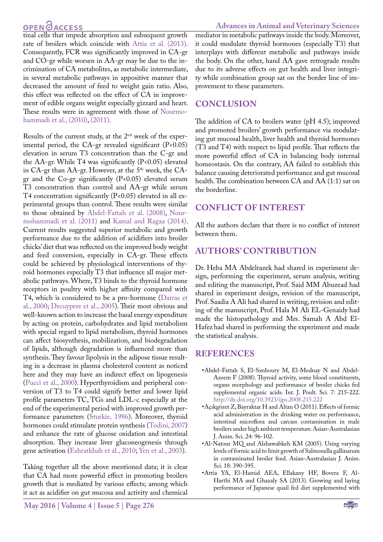# **OPEN CACCESS**

tinal cells that impede absorption and subsequent growth rate of broilers which coincide with [Attia et al. \(2013\).](#page-5-2) Consequently, FCR was significantly improved in CA-gr and CO-gr while worsen in AA-gr may be due to the incrimination of CA metabolites, as metabolic intermediate, in several metabolic pathways in appositive manner that decreased the amount of feed to weight gain ratio. Also, this effect was reflected on the effect of CA in improvement of edible organs weight especially gizzard and heart. These results were in agreement with those of [Nourmo](#page-6-22)[hammadi et al., \(2010\),](#page-6-22) [\(2011\).](#page-6-23)

Results of the current study, at the 2nd week of the experimental period, the CA-gr revealed significant  $(P<0.05)$ elevation in serum T3 concentration than the C-gr and the AA-gr. While T4 was significantly (P<0.05) elevated in CA-gr than AA-gr. However, at the 5<sup>th</sup> week, the CAgr and the Co-gr significantly (P<0.05) elevated serum T3 concentration than control and AA-gr while serum T4 concentration significantly (P<0.05) elevated in all experimental groups than control. These results were similar to those obtained by [Abdel-Fattah et al. \(2008\)](#page-5-1), [Nour](#page-6-23)[mohammadi et al. \(2011\)](#page-6-23) and [Kamal and Ragaa \(2014\).](#page-6-24) Current results suggested superior metabolic and growth performance due to the addition of acidifiers into broiler chicks' diet that was reflected on the improved body weight and feed conversion, especially in CA-gr. These effects could be achieved by physiological interventions of thyroid hormones especially T3 that influence all major metabolic pathways. Where, T3 binds to the thyroid hormone receptors in poultry with higher affinity compared with T4, which is considered to be a pro-hormone (Darras et al., 2000; [Decuypere et al., 2005\)](#page-6-25). Their most obvious and well-known action to increase the basal energy expenditure by acting on protein, carbohydrates and lipid metabolism with special regard to lipid metabolism, thyroid hormones can affect biosynthesis, mobilization, and biodegradation of lipids, although degradation is influenced more than synthesis. They favour lipolysis in the adipose tissue resulting in a decrease in plasma cholesterol content as noticed here and they may have an indirect effect on lipogenesis ([Pucci et al., 2000\)](#page-6-26). Hyperthyroidism and peripheral conversion of T3 to T4 could signify better and lower lipid profile parameters TC, TGs and LDL-c especially at the end of the experimental period with improved growth performance parameters ([Sturkie, 1](#page-7-3)986). Moreover, thyroid hormones could stimulate protein synthesis ([Todini, 2007](#page-7-4)) and enhance the rate of glucose oxidation and intestinal absorption. They increase liver gluconeogenesis through gene activation ([Eshratkhah et al., 2010;](#page-6-27) [Yen et al., 2003](#page-7-5)).

Taking together all the above mentioned data; it is clear that CA had more powerful effect in promoting broilers growth that is mediated by various effects; among which it act as acidifier on gut mucosa and activity and chemical

mediator in metabolic pathways inside the body. Moreover, it could modulate thyroid hormones (especially T3) that interplays with different metabolic and pathways inside the body. On the other, hand AA gave retrograde results due to its adverse effects on gut health and liver integrity while combination group sat on the border line of improvement to these parameters.

### **CONCLUSION**

The addition of CA to broilers water (pH 4.5); improved and promoted broilers' growth performance via modulating gut mucosal health, liver health and thyroid hormones (T3 and T4) with respect to lipid profile. That reflects the more powerful effect of CA in balancing body internal homeostasis. On the contrary, AA failed to establish this balance causing deteriorated performance and gut mucosal health. The combination between CA and AA (1:1) sat on the borderline.

# **CONFLICT OF INTEREST**

All the authors declare that there is no conflict of interest between them.

# **AUTHORS' CONTRIBUTION**

Dr. Heba MA Abdelrazek had shared in experiment design, performing the experiment, serum analysis, writing and editing the manuscript, Prof. Said MM Abuzead had shared in experiment design, revision of the manuscript, Prof. Saadia A Ali had shared in writing, revision and editing of the manuscript, Prof. Hala M Ali EL-Genaidy had made the histopathology and Mrs. Samah A Abd El-Hafez had shared in performing the experiment and made the statistical analysis.

### **REFERENCES**

- <span id="page-5-1"></span>•Abdel-Fattah S, El-Sanhoury M, El-Mednay N and Abdel-Azeem F (2008). Thyroid activity, some blood constituents, organs morphology and performance of broiler chicks fed supplemental organic acids. Int. J. Poult. Sci. 7: 215-222. <http://dx.doi.org/10.3923/ijps.2008.215.222>
- •Açıkgözet Z, Bayraktar H and Altan O (2011). Effects of formic acid administration in the drinking water on performance, intestinal microflora and carcass contamination in male broilers under high ambient temperature. Asian-Australasian J. Anim. Sci. 24: 96-102.
- <span id="page-5-0"></span>•Al-Natour MQ and Alshawabkeh KM (2005). Using varying levels of formic acid to limit growth of Salmonella gallinarum in contaminated broiler feed. Asian-Australasian J. Anim. Sci. 18: 390-395.
- <span id="page-5-2"></span>•Attia YA, El-Hamid AEA, Ellakany HF, Bovera F, Al-Harthi MA and Ghazaly SA (2013). Growing and laying performance of Japanese quail fed diet supplemented with

**NEXUS**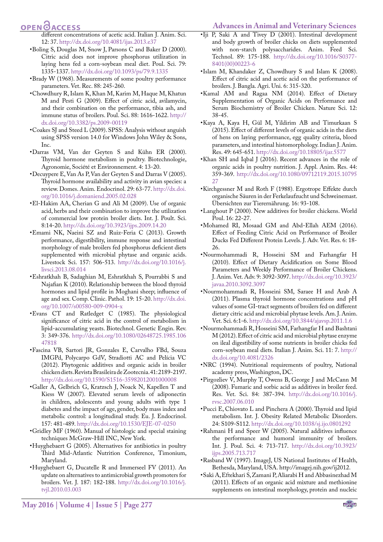#### <span id="page-6-14"></span>**Advances in Animal and Veterinary Sciences**

# **OPEN**OACCESS

different concentrations of acetic acid. Italian J. Anim. Sci. 12: 37.<http://dx.doi.org/10.4081/ijas.2013.e37>

- <span id="page-6-18"></span>•Boling S, Douglas M, Snow J, Parsons C and Baker D (2000). Citric acid does not improve phosphorus utilization in laying hens fed a corn-soybean meal diet. Poul. Sci. 79: 1335-1337.<http://dx.doi.org/10.1093/ps/79.9.1335>
- <span id="page-6-10"></span>•Brady W (1968). Measurements of some poultry performance parameters. Vet. Rec. 88: 245-260.
- <span id="page-6-5"></span>•Chowdhury R, Islam K, Khan M, Karim M, Haque M, Khatun M and Pesti G (2009). Effect of citric acid, avilamycin, and their combination on the performance, tibia ash, and immune status of broilers. Poul. Sci. 88: 1616-1622. [http://](http://dx.doi.org/10.3382/ps.2009-00119) [dx.doi.org/10.3382/ps.2009-00119](http://dx.doi.org/10.3382/ps.2009-00119)
- <span id="page-6-15"></span>•Coakes SJ and Steed L (2009). SPSS: Analysis without anguish using SPSS version 14.0 for Windows John Wiley & Sons, Inc.
- •Darras VM, Van der Geyten S and Kühn ER (2000). Thyroid hormone metabolism in poultry. Biotechnologie, Agronomie, Société et Environnement. 4: 13-20.
- <span id="page-6-25"></span>•Decuypere E, Van As P, Van der Geyten S and Darras V (2005). Thyroid hormone availability and activity in avian species: a review. Domes. Anim. Endocrinol. 29: 63-77. [http://dx.doi.](http://dx.doi.org/10.1016/j.domaniend.2005.02.028) [org/10.1016/j.domaniend.2005.02.028](http://dx.doi.org/10.1016/j.domaniend.2005.02.028)
- <span id="page-6-21"></span>•El-Hakim AA, Cherian G and Ali M (2009). Use of organic acid, herbs and their combination to improve the utilization of commercial low protein broiler diets. Int. J. Poult. Sci. 8:14-20. <http://dx.doi.org/10.3923/ijps.2009.14.20>
- <span id="page-6-4"></span>•Emami NK, Naeini SZ and Ruiz-Feria C (2013). Growth performance, digestibility, immune response and intestinal morphology of male broilers fed phosphorus deficient diets supplemented with microbial phytase and organic acids. Livestock Sci. 157: 506-513. [http://dx.doi.org/10.1016/j.](http://dx.doi.org/10.1016/j.livsci.2013.08.014) [livsci.2013.08.014](http://dx.doi.org/10.1016/j.livsci.2013.08.014)
- <span id="page-6-27"></span>•Eshratkhah B, Sadaghian M, Eshratkhah S, Pourrabbi S and Najafian K (2010). Relationship between the blood thyroid hormones and lipid profile in Moghani sheep; influence of age and sex. Comp. Clinic. Pathol. 19: 15-20. [http://dx.doi.](http://dx.doi.org/10.1007/s00580-009-0904-x) [org/10.1007/s00580-009-0904-x](http://dx.doi.org/10.1007/s00580-009-0904-x)
- <span id="page-6-20"></span>•Evans CT and Ratledget C (1985). The physiological significance of citric acid in the control of metabolism in lipid-accumulating yeasts. Biotechnol. Genetic Engin. Rev. 3: 349-376. [http://dx.doi.org/10.1080/02648725.1985.106](http://dx.doi.org/10.1080/02648725.1985.10647818) [47818](http://dx.doi.org/10.1080/02648725.1985.10647818)
- •Fascina VB, Sartori JR, Gonzales E, Carvalho FBd, Souza IMGPd, Polycarpo GdV, Stradiotti AC and Pelícia VC (2012). Phytogenic additives and organic acids in broiler chicken diets. Revista Brasileira de Zootecnia. 41: 2189-2197. <http://dx.doi.org/10.1590/S1516-35982012001000008>
- <span id="page-6-11"></span>•Galler A, Gelbrich G, Kratzsch J, Noack N, Kapellen T and Kiess W (2007). Elevated serum levels of adiponectin in children, adolescents and young adults with type 1 diabetes and the impact of age, gender, body mass index and metabolic control: a longitudinal study. Eu. J. Endocrinol. 157: 481-489. <http://dx.doi.org/10.1530/EJE-07-0250>
- <span id="page-6-12"></span>•Gridley MF (1960). Manual of histologic and special staining techniques McGraw-Hill INC, New York.
- <span id="page-6-2"></span>•Huyghebaert G (2005). Alternatives for antibiotics in poultry Third Mid-Atlantic Nutrition Conference, Timonium, Maryland.
- •Huyghebaert G, Ducatelle R and Immerseel FV (2011). An update on alternatives to antimicrobial growth promoters for broilers. Vet. J. 187: 182-188. [http://dx.doi.org/10.1016/j.](http://dx.doi.org/10.1016/j.tvjl.2010.03.003) [tvjl.2010.03.003](http://dx.doi.org/10.1016/j.tvjl.2010.03.003)
- •Iji P, Saki A and Tivey D (2001). Intestinal development and body growth of broiler chicks on diets supplemented with non-starch polysaccharides. Anim. Feed Sci. Technol. 89: 175-188. [http://dx.doi.org/10.1016/S0377-](http://dx.doi.org/10.1016/S0377-8401(00)00223-6) [8401\(00\)00223-6](http://dx.doi.org/10.1016/S0377-8401(00)00223-6)
- <span id="page-6-7"></span>•Islam M, Khandaker Z, Chowdhury S and Islam K (2008). Effect of citric acid and acetic acid on the performance of broilers. J. Bangla. Agri. Uni. 6: 315-320.
- <span id="page-6-24"></span>•Kamal AM and Ragaa NM (2014). Effect of Dietary Supplementation of Organic Acids on Performance and Serum Biochemistry of Broiler Chicken. Nature Sci. 12: 38-45.
- •Kaya A, Kaya H, Gül M, Yildirim AB and Timurkaan S (2015). Effect of different levels of organic acids in the diets of hens on laying performance, egg quality criteria, blood parameters, and intestinal histomorphology. Indian J. Anim. Res. 49: 645-651. <http://dx.doi.org/10.18805/ijar.5577>
- <span id="page-6-3"></span>•Khan SH and Iqbal J (2016). Recent advances in the role of organic acids in poultry nutrition. J. Appl. Anim. Res. 44: 359-369. [http://dx.doi.org/10.1080/09712119.2015.10795](http://dx.doi.org/10.1080/09712119.2015.1079527) [27](http://dx.doi.org/10.1080/09712119.2015.1079527)
- <span id="page-6-19"></span>•Kirchgessner M and Roth F (1988). Ergotrope Effekte durch organische Säuren in der Ferkelaufzucht und Schweinemast. Übersichten zur Tierernährung. 16: 93-108.
- <span id="page-6-1"></span>•Langhout P (2000). New additives for broiler chickens. World Poul. 16: 22-27.
- <span id="page-6-17"></span>•Mohamed RI, Mosaad GM and Abd-Ellah AEM (2016). Effect of Feeding Citric Acid on Performance of Broiler Ducks Fed Different Protein Levels. J. Adv. Vet. Res. 6: 18- 26.
- <span id="page-6-22"></span>•Nourmohammadi R, Hosseini SM and Farhangfar H (2010). Effect of Dietary Acidification on Some Blood Parameters and Weekly Performance of Broiler Chickens. J. Anim. Vet. Adv. 9: 3092-3097. [http://dx.doi.org/10.3923/](http://dx.doi.org/10.3923/javaa.2010.3092.3097) [javaa.2010.3092.3097](http://dx.doi.org/10.3923/javaa.2010.3092.3097)
- <span id="page-6-23"></span>•Nourmohammadi R, Hosseini SM, Saraee H and Arab A (2011). Plasma thyroid hormone concentrations and pH values of some GI-tract segments of broilers fed on different dietary citric acid and microbial phytase levels. Am. J. Anim. Vet. Sci. 6:1-6. <http://dx.doi.org/10.3844/ajavsp.2011.1.6>
- <span id="page-6-6"></span>•Nourmohammadi R, Hosseini SM, Farhangfar H and Bashtani M (2012). Effect of citric acid and microbial phytase enzyme on ileal digestibility of some nutrients in broiler chicks fed corn-soybean meal diets. Italian J. Anim. Sci. 11: 7. [http://](http://dx.doi.org/10.4081/2326) [dx.doi.org/10.4081/2326](http://dx.doi.org/10.4081/2326)
- <span id="page-6-9"></span>•NRC (1994). Nutritional requirements of poultry, National academy press, Washington, DC.
- <span id="page-6-8"></span>•Pirgozliev V, Murphy T, Owens B, George J and McCann M (2008). Fumaric and sorbic acid as additives in broiler feed. Res. Vet. Sci. 84: 387-394. [http://dx.doi.org/10.1016/j.](http://dx.doi.org/10.1016/j.rvsc.2007.06.010) [rvsc.2007.06.010](http://dx.doi.org/10.1016/j.rvsc.2007.06.010)
- <span id="page-6-26"></span>•Pucci E, Chiovato L and Pinchera A (2000). Thyroid and lipid metabolism. Int. J. Obesity Related Metabolic Disorders. 24: S109-S112. <http://dx.doi.org/10.1038/sj.ijo.0801292>
- <span id="page-6-0"></span>•Rahmani H and Speer W (2005). Natural additives influence the performance and humoral immunity of broilers. Int. J. Poul. Sci. 4: 713-717. [http://dx.doi.org/10.3923/](http://dx.doi.org/10.3923/ijps.2005.713.717) [ijps.2005.713.717](http://dx.doi.org/10.3923/ijps.2005.713.717)
- <span id="page-6-13"></span>•Rasband W (1997). ImageJ, US National Institutes of Health, Bethesda, Maryland, USA. [http://imagej.nih.gov/ij2012.](http://imagej.nih.gov/ij2012)
- <span id="page-6-16"></span>•Saki A, Eftekhari S, Zamani P, Aliarabi H and Abbasinezhad M (2011). Effects of an organic acid mixture and methionine supplements on intestinal morphology, protein and nucleic